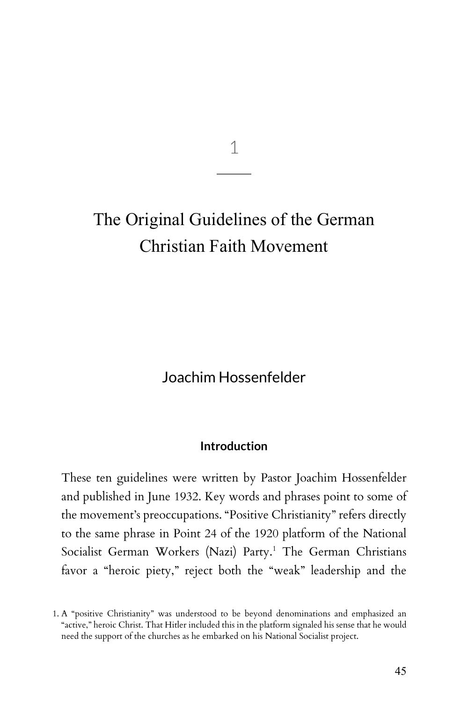1

# The Original Guidelines of the German Christian Faith Movement

## Joachim Hossenfelder

#### **Introduction**

These ten guidelines were written by Pastor Joachim Hossenfelder and published in June 1932. Key words and phrases point to some of the movement's preoccupations. "Positive Christianity" refers directly to the same phrase in Point 24 of the 1920 platform of the National Socialist German Workers (Nazi) Party.<sup>1</sup> The German Christians favor a "heroic piety," reject both the "weak" leadership and the

<sup>1.</sup> A "positive Christianity" was understood to be beyond denominations and emphasized an "active," heroic Christ. That Hitler included this in the platform signaled his sense that he would need the support of the churches as he embarked on his National Socialist project.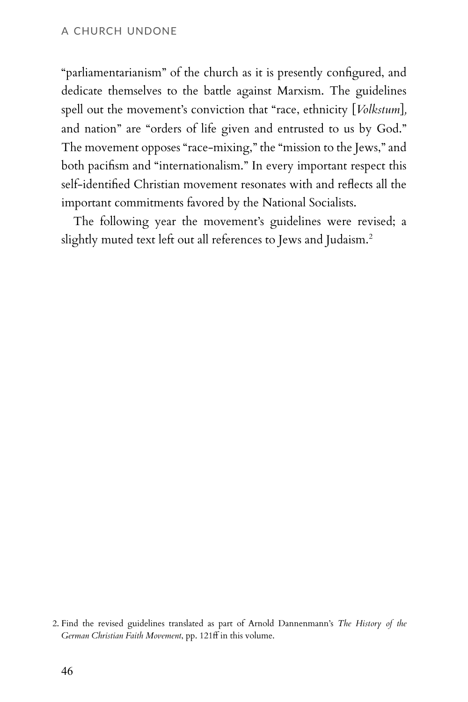"parliamentarianism" of the church as it is presently configured, and dedicate themselves to the battle against Marxism. The guidelines spell out the movement's conviction that "race, ethnicity [*Volkstum*]*,* and nation" are "orders of life given and entrusted to us by God." The movement opposes "race-mixing," the "mission to the Jews," and both pacifism and "internationalism." In every important respect this self-identified Christian movement resonates with and reflects all the important commitments favored by the National Socialists.

The following year the movement's guidelines were revised; a slightly muted text left out all references to Jews and Judaism.<sup>2</sup>

<sup>2.</sup> Find the revised guidelines translated as part of Arnold Dannenmann's *The History of the German Christian Faith Movement*, pp. 121ff in this volume.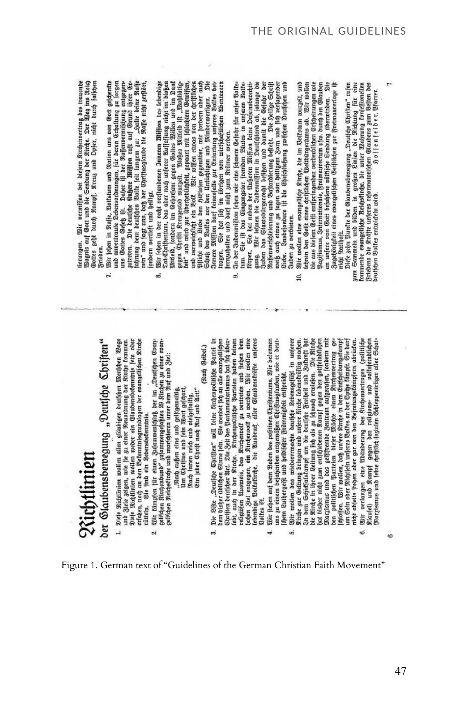|               | C)                      |
|---------------|-------------------------|
|               |                         |
| Gebtlinien    | han 641 and awakamaanna |
|               |                         |
| ;;;;;;<br>Si. |                         |

iterungen. Wir vermiffen bei defem Kircheivertrag des irauende<br>Wagnis auf Gott und die Gendung der Rirche. Der Weg ins Reich<br>Gottes geht durch Rampf, Kreug und Opfer, nicht durch fallchen

und anvertraute Lebensordnungen, für deren Erhaltung au lorgen<br>uns Goltes Gefeß ift. Daher ift der Raffamermilfälung aufgegen. sutreten. Die deutsche Augere Mission ruft auf Grund ihrer Erfahrung dem deutfchen Bolte (eit langem zu: "Halte deine Kaffe<br>rein" und (agt uns, daß der Chriftusglaube die Raffe nicht zerftört, Wir fehen in der recht verftandenen Inneren Miffion das lebendige LabChriftentum, das aber nach unferer Auffaljung nicht im bioßen<br>Mitleid, fondern im Gehorjam gegen Gottes Billen und im Dant

ondern vertieft und heiligt.

8

Wir fehen in Raffe, Bolkstum und Ration uns von Gott geschenkte

Frieden.

 $\mathbf{r}$ 

"Deutsche Christen" ner ontmosinensnämn

- Diefe Richtlinien wollen allen gläubigen deutschen Menfohen Wege<br>und Fele zeigen, wie fie zu einer Reuochnung der Kirche fommen.<br>Diefe Richtlinien wollen weder ein Glaudensbefenntnis fein oder erfehen, noch an den Betenninisgrundlagen der evangelijchen Kirche find ein Lebensbetenntnis. ä rütteln.  $\overline{1}$
- Wir tämpfen für einen Zufammenfchuß der im "Deutfchen Evan-<br>gelichen Kirchenbund" zufammengefaßten 29 Richen zu einer evan-<br>gelichen Reicheftrche und martchieren unter dem Ruf und Ziel:  $\mathbf{a}$ 
	- Um Chriftus und fein Wort gelchart,<br>Nach innen reich und vielgeftaltig, Rach außen eins und geistgewaltig.
		- Ein jeder Chrift nach Ruf und Art!"

gegen Chili Ferussaid wurst. Bishes Mitteld if "Mohladigen" ett" und wird zur Lieschliche Lett" und wird zur Liescheidscher Gewiffen, and der Steine Letter and Steine Letter and Steine Letter and Steine Letter and Steine L

Innere Miffion darf teinesfalls zur Entartung unferes Voltes beitragen. Sie hat fich im übrigen von wirtfchaftlichen Abenteuern<br>fernzuhalten und darf nicht zum Krämer werden. In der Judenmiffion feben wir eine fcwere Gefahr für wier Bolkstun. Sie ist das Eingangstor fremden Blutes in unjeren Bolks gung. Wir lehnen die Judenmiffion in Deutschtend ab, jolange die Juden von Stehten das Steatsbürgerrecht defigen und damit die Gefahr der Raffenveilskierung und Bajtardierung besteht. Die Seitge Schrift<br>weiß auch etwas zu lagen von heiligen Jorn und fich verfagenber<br>Stebe. Insbejondere ift die Ehrishleibung zwifgen Deutfchen und

förper. Sie hat neben der Aufzeren Miffion teine Dafeinsberechti-

ය

Wit wollen eine evangelijche Kirche, die im Bolfstum wurzelf, und<br>lehnen den Geift eines chriftlichen Weltbürgertums ab. Wir wollen dié aus dielem Geift entfpringenden verderblichen Erfcheinungen wie<br>Paglismus, Internationale, Freimaureetum ufw. durch den Glauben an untere von Goit betohlene völtliche Sendung überwinden. Die<br>Zugehörigfeit eines evangelichen Geifilichen zur Freimaurerloge ift

Biebe. Insbefondere<br>Juden zu verbieten.

d

zum Sammeln und bilden in großen Linten die Richtung für eine<br>commende evangeliche Reichslirche, die unter Mahrung confefionellen Diefe zehn Puntte der Glaubensbewegung "Deutsche Christen" rufen

ftatthaft.

nicht

Friedens die Kräfte unteres reformatorlichen Glaubens zum Belten des<br>deutlchen Boltes entwickeln wird.<br>Deutlchen Boltes entwickeln wird.

- (Rach Getbel.)
- Chriften deutscher Art. Die Zeit des Parstamentarissenus hat füll über-<br>Lebt, auch in der Kitche. Kitchenspalitische Barteian hoben leinen<br>Lobardien deutschen den Kitchensoff, au verden, und nichten den<br>Lobardien deutschen Die Bifte "Deutsche Ghriften" will teine terchenpolitische Partei in<br>dem bisher üblichen Sinne fein. Sie wendet fich an alle evangelischen **Wolfes** ift. ക്
- Wir flehen auf dem Boden des pofitiven Chriftentums. Wir betennen uns zu einem bejahenden artgemäßen Christusglauben, wie er deutichem Luthergeift und heldlicher Frömmigkeit entspricht.
- Bitr wollen dos wiederrwoche deutsche Zebenegelfisi in unterer<br>Sin der Geschichte der Bitrachen der Bitrachen der Schweizer der Schweizer der Schweizer der Schweizer der Sc<br>der Strate in these Zeitung fisch als au ichnock den politischen Parteien dieser Mächte einen Kitchenvertrag geschieden.<br>|chloffen, Wir wolten, daß unfere Kitche in dem Entfichungstampf religions- und polisfeindlichen Gie barf nicht abseits stehen oder gar von den Befreiungskänpfern abrüden. Wit verlangen eine Abänderung des Kirchenvertrages (politische Kiaujel) und Kampf gegen den religions- und volksfeindlichen<br>Marzismus und feine chriftlich-fozialen Schleppenitäger aller Schat-Sein ober Nichtfein unferes Boltes an der Spite fämpft. fatolfen.<br>um Sein o s. ő.
- 6

Figure 1. German text of "Guidelines of the German Christian Faith Movement"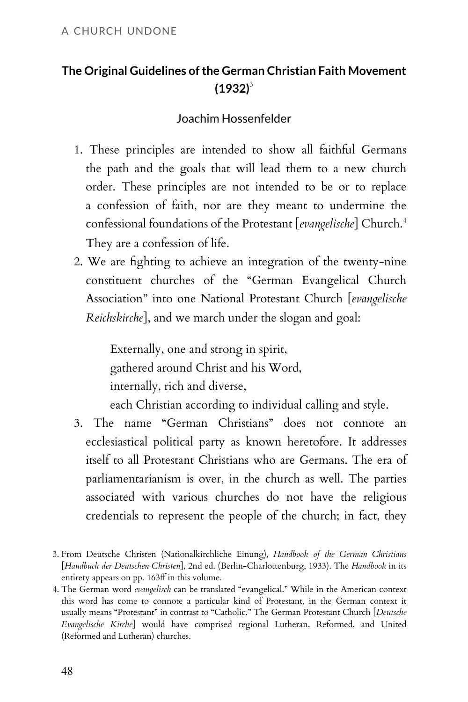### **The Original Guidelines of the German Christian Faith Movement**  $(1932)^3$

### Joachim Hossenfelder

- 1. These principles are intended to show all faithful Germans the path and the goals that will lead them to a new church order. These principles are not intended to be or to replace a confession of faith, nor are they meant to undermine the confessional foundations of the Protestant [*evangelische*] Church.<sup>4</sup> They are a confession of life.
- 2. We are fighting to achieve an integration of the twenty-nine constituent churches of the "German Evangelical Church Association" into one National Protestant Church [*evangelische Reichskirche*], and we march under the slogan and goal:

Externally, one and strong in spirit, gathered around Christ and his Word, internally, rich and diverse, each Christian according to individual calling and style.

3. The name "German Christians" does not connote an ecclesiastical political party as known heretofore. It addresses itself to all Protestant Christians who are Germans. The era of parliamentarianism is over, in the church as well. The parties associated with various churches do not have the religious credentials to represent the people of the church; in fact, they

<sup>3.</sup> From Deutsche Christen (Nationalkirchliche Einung), *Handbook of the German Christians* [*Handbuch der Deutschen Christen*], 2nd ed. (Berlin-Charlottenburg, 1933). The *Handbook* in its entirety appears on pp. 163ff in this volume.

<sup>4.</sup> The German word *evangelisch* can be translated "evangelical." While in the American context this word has come to connote a particular kind of Protestant, in the German context it usually means "Protestant" in contrast to "Catholic." The German Protestant Church [*Deutsche Evangelische Kirche*] would have comprised regional Lutheran, Reformed, and United (Reformed and Lutheran) churches.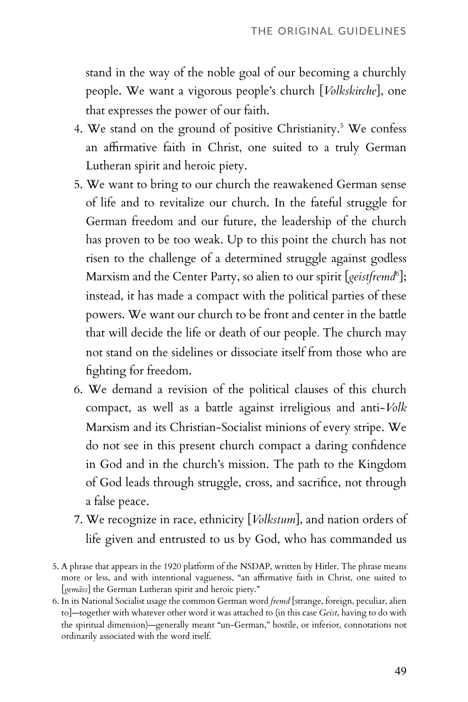stand in the way of the noble goal of our becoming a churchly people. We want a vigorous people's church [*Volkskirche*], one that expresses the power of our faith.

- 4. We stand on the ground of positive Christianity.<sup>5</sup> We confess an affirmative faith in Christ, one suited to a truly German Lutheran spirit and heroic piety.
- 5. We want to bring to our church the reawakened German sense of life and to revitalize our church. In the fateful struggle for German freedom and our future, the leadership of the church has proven to be too weak. Up to this point the church has not risen to the challenge of a determined struggle against godless Marxism and the Center Party, so alien to our spirit [*geistfremd*<sup>6</sup> ]; instead, it has made a compact with the political parties of these powers. We want our church to be front and center in the battle that will decide the life or death of our people*.* The church may not stand on the sidelines or dissociate itself from those who are fighting for freedom.
- 6. We demand a revision of the political clauses of this church compact, as well as a battle against irreligious and anti-*Volk* Marxism and its Christian-Socialist minions of every stripe. We do not see in this present church compact a daring confidence in God and in the church's mission. The path to the Kingdom of God leads through struggle, cross, and sacrifice, not through a false peace.
- 7. We recognize in race, ethnicity [*Volkstum*], and nation orders of life given and entrusted to us by God, who has commanded us
- 5. A phrase that appears in the 1920 platform of the NSDAP, written by Hitler. The phrase means more or less, and with intentional vagueness, "an affirmative faith in Christ, one suited to [*gemäss*] the German Lutheran spirit and heroic piety."
- 6. In its National Socialist usage the common German word *fremd* [strange, foreign, peculiar, alien to]—together with whatever other word it was attached to (in this case *Geist*, having to do with the spiritual dimension)—generally meant "un-German," hostile, or inferior, connotations not ordinarily associated with the word itself.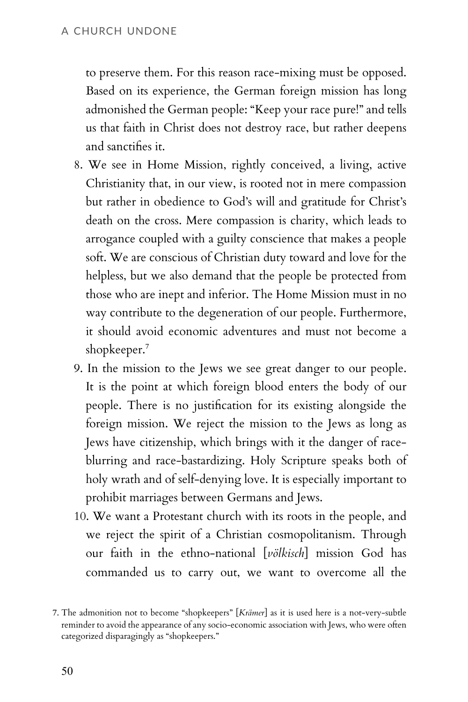to preserve them. For this reason race-mixing must be opposed. Based on its experience, the German foreign mission has long admonished the German people: "Keep your race pure!" and tells us that faith in Christ does not destroy race, but rather deepens and sanctifies it.

- 8. We see in Home Mission, rightly conceived, a living, active Christianity that, in our view, is rooted not in mere compassion but rather in obedience to God's will and gratitude for Christ's death on the cross. Mere compassion is charity, which leads to arrogance coupled with a guilty conscience that makes a people soft. We are conscious of Christian duty toward and love for the helpless, but we also demand that the people be protected from those who are inept and inferior. The Home Mission must in no way contribute to the degeneration of our people. Furthermore, it should avoid economic adventures and must not become a shopkeeper.<sup>7</sup>
- 9. In the mission to the Jews we see great danger to our people. It is the point at which foreign blood enters the body of our people. There is no justification for its existing alongside the foreign mission. We reject the mission to the Jews as long as Jews have citizenship, which brings with it the danger of raceblurring and race-bastardizing. Holy Scripture speaks both of holy wrath and of self-denying love. It is especially important to prohibit marriages between Germans and Jews.
- 10. We want a Protestant church with its roots in the people, and we reject the spirit of a Christian cosmopolitanism. Through our faith in the ethno-national [*völkisch*] mission God has commanded us to carry out, we want to overcome all the

<sup>7.</sup> The admonition not to become "shopkeepers" [*Krämer*] as it is used here is a not-very-subtle reminder to avoid the appearance of any socio-economic association with Jews, who were often categorized disparagingly as "shopkeepers."